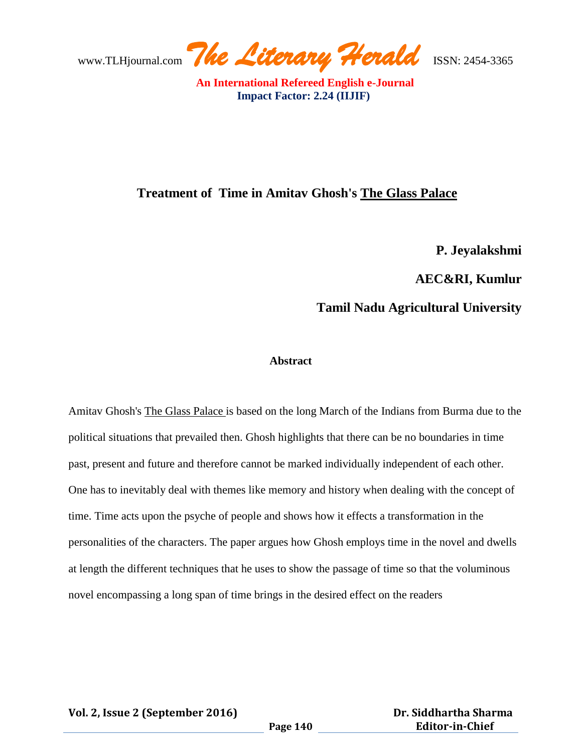www.TLHjournal.com *The Literary Herald*ISSN: 2454-3365

### **Treatment of Time in Amitav Ghosh's The Glass Palace**

**P. Jeyalakshmi**

**AEC&RI, Kumlur**

# **Tamil Nadu Agricultural University**

#### **Abstract**

Amitav Ghosh's The Glass Palace is based on the long March of the Indians from Burma due to the political situations that prevailed then. Ghosh highlights that there can be no boundaries in time past, present and future and therefore cannot be marked individually independent of each other. One has to inevitably deal with themes like memory and history when dealing with the concept of time. Time acts upon the psyche of people and shows how it effects a transformation in the personalities of the characters. The paper argues how Ghosh employs time in the novel and dwells at length the different techniques that he uses to show the passage of time so that the voluminous novel encompassing a long span of time brings in the desired effect on the readers

**Vol. 2, Issue 2 (September 2016)**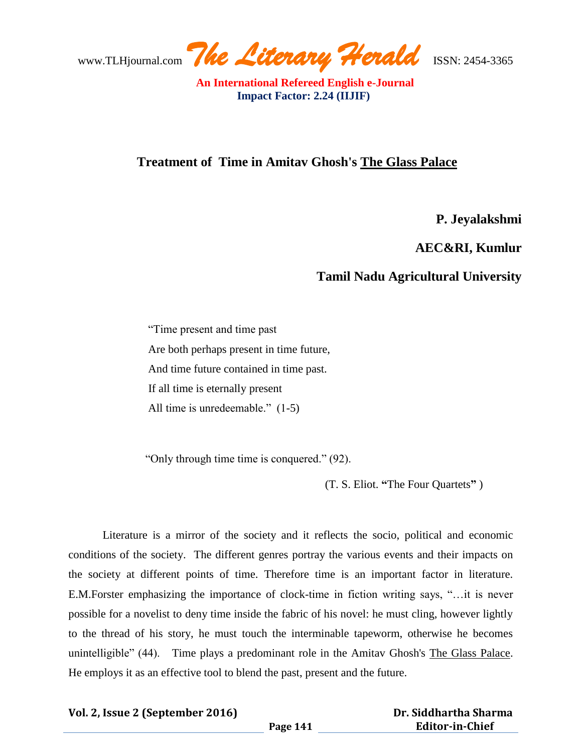### **Treatment of Time in Amitav Ghosh's The Glass Palace**

**P. Jeyalakshmi**

**AEC&RI, Kumlur**

# **Tamil Nadu Agricultural University**

 "Time present and time past Are both perhaps present in time future, And time future contained in time past. If all time is eternally present All time is unredeemable." (1-5)

"Only through time time is conquered." (92).

(T. S. Eliot. **"**The Four Quartets**"** )

Literature is a mirror of the society and it reflects the socio, political and economic conditions of the society. The different genres portray the various events and their impacts on the society at different points of time. Therefore time is an important factor in literature. E.M.Forster emphasizing the importance of clock-time in fiction writing says, "…it is never possible for a novelist to deny time inside the fabric of his novel: he must cling, however lightly to the thread of his story, he must touch the interminable tapeworm, otherwise he becomes unintelligible" (44). Time plays a predominant role in the Amitav Ghosh's The Glass Palace. He employs it as an effective tool to blend the past, present and the future.

#### **Vol. 2, Issue 2 (September 2016)**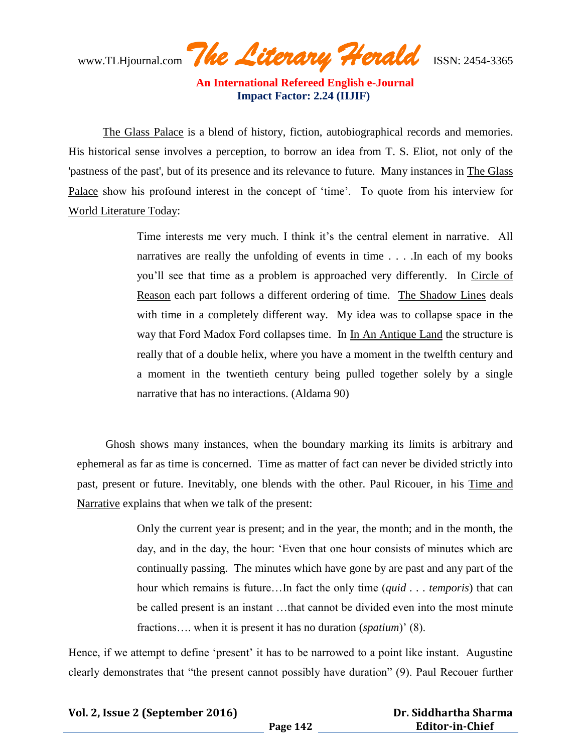www.TLHjournal.com *The Literary Herald*ISSN: 2454-3365

The Glass Palace is a blend of history, fiction, autobiographical records and memories. His historical sense involves a perception, to borrow an idea from T. S. Eliot, not only of the 'pastness of the past', but of its presence and its relevance to future. Many instances in The Glass Palace show his profound interest in the concept of 'time'. To quote from his interview for World Literature Today:

> Time interests me very much. I think it's the central element in narrative. All narratives are really the unfolding of events in time . . . .In each of my books you"ll see that time as a problem is approached very differently. In Circle of Reason each part follows a different ordering of time. The Shadow Lines deals with time in a completely different way. My idea was to collapse space in the way that Ford Madox Ford collapses time. In In An Antique Land the structure is really that of a double helix, where you have a moment in the twelfth century and a moment in the twentieth century being pulled together solely by a single narrative that has no interactions. (Aldama 90)

Ghosh shows many instances, when the boundary marking its limits is arbitrary and ephemeral as far as time is concerned. Time as matter of fact can never be divided strictly into past, present or future. Inevitably, one blends with the other. Paul Ricouer, in his Time and Narrative explains that when we talk of the present:

> Only the current year is present; and in the year, the month; and in the month, the day, and in the day, the hour: "Even that one hour consists of minutes which are continually passing. The minutes which have gone by are past and any part of the hour which remains is future…In fact the only time (*quid . . . temporis*) that can be called present is an instant …that cannot be divided even into the most minute fractions.... when it is present it has no duration (*spatium*)' (8).

Hence, if we attempt to define 'present' it has to be narrowed to a point like instant. Augustine clearly demonstrates that "the present cannot possibly have duration" (9). Paul Recouer further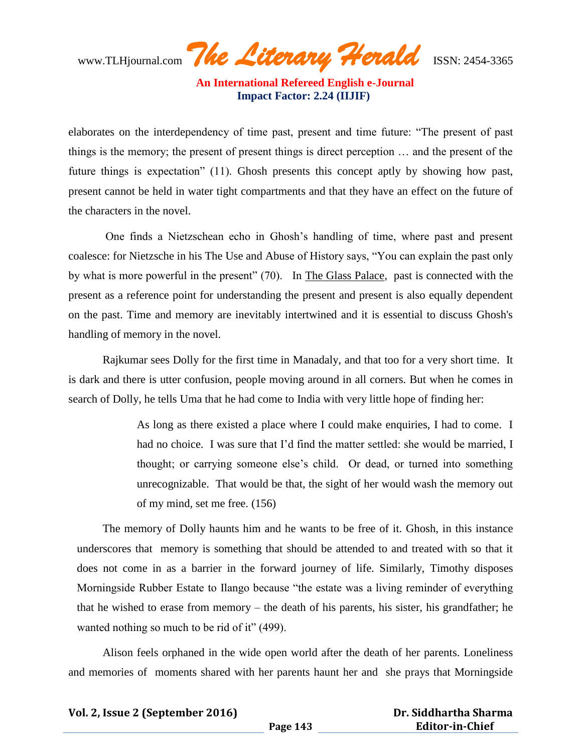www.TLHjournal.com *The Literary Herald*ISSN: 2454-3365

elaborates on the interdependency of time past, present and time future: "The present of past things is the memory; the present of present things is direct perception … and the present of the future things is expectation" (11). Ghosh presents this concept aptly by showing how past, present cannot be held in water tight compartments and that they have an effect on the future of the characters in the novel.

One finds a Nietzschean echo in Ghosh"s handling of time, where past and present coalesce: for Nietzsche in his The Use and Abuse of History says, "You can explain the past only by what is more powerful in the present" (70). In The Glass Palace, past is connected with the present as a reference point for understanding the present and present is also equally dependent on the past. Time and memory are inevitably intertwined and it is essential to discuss Ghosh's handling of memory in the novel.

Rajkumar sees Dolly for the first time in Manadaly, and that too for a very short time. It is dark and there is utter confusion, people moving around in all corners. But when he comes in search of Dolly, he tells Uma that he had come to India with very little hope of finding her:

> As long as there existed a place where I could make enquiries, I had to come. I had no choice. I was sure that I"d find the matter settled: she would be married, I thought; or carrying someone else"s child. Or dead, or turned into something unrecognizable. That would be that, the sight of her would wash the memory out of my mind, set me free. (156)

The memory of Dolly haunts him and he wants to be free of it. Ghosh, in this instance underscores that memory is something that should be attended to and treated with so that it does not come in as a barrier in the forward journey of life. Similarly, Timothy disposes Morningside Rubber Estate to Ilango because "the estate was a living reminder of everything that he wished to erase from memory – the death of his parents, his sister, his grandfather; he wanted nothing so much to be rid of it" (499).

Alison feels orphaned in the wide open world after the death of her parents. Loneliness and memories of moments shared with her parents haunt her and she prays that Morningside

**Vol. 2, Issue 2 (September 2016)**

 **Dr. Siddhartha Sharma Editor-in-Chief**

**Page 143**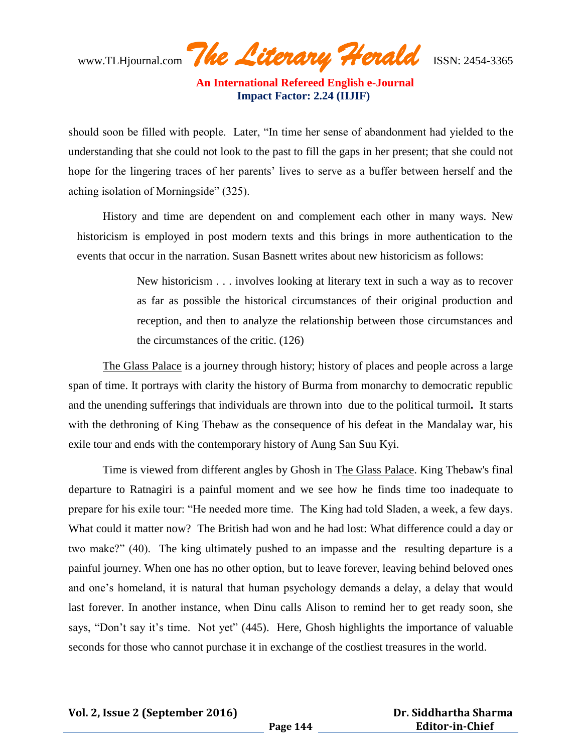www.TLHjournal.com *The Literary Herald*ISSN: 2454-3365

should soon be filled with people. Later, "In time her sense of abandonment had yielded to the understanding that she could not look to the past to fill the gaps in her present; that she could not hope for the lingering traces of her parents' lives to serve as a buffer between herself and the aching isolation of Morningside" (325).

History and time are dependent on and complement each other in many ways. New historicism is employed in post modern texts and this brings in more authentication to the events that occur in the narration. Susan Basnett writes about new historicism as follows:

> New historicism . . . involves looking at literary text in such a way as to recover as far as possible the historical circumstances of their original production and reception, and then to analyze the relationship between those circumstances and the circumstances of the critic. (126)

The Glass Palace is a journey through history; history of places and people across a large span of time. It portrays with clarity the history of Burma from monarchy to democratic republic and the unending sufferings that individuals are thrown into due to the political turmoil**.** It starts with the dethroning of King Thebaw as the consequence of his defeat in the Mandalay war, his exile tour and ends with the contemporary history of Aung San Suu Kyi.

Time is viewed from different angles by Ghosh in The Glass Palace. King Thebaw's final departure to Ratnagiri is a painful moment and we see how he finds time too inadequate to prepare for his exile tour: "He needed more time. The King had told Sladen, a week, a few days. What could it matter now? The British had won and he had lost: What difference could a day or two make?" (40). The king ultimately pushed to an impasse and the resulting departure is a painful journey. When one has no other option, but to leave forever, leaving behind beloved ones and one"s homeland, it is natural that human psychology demands a delay, a delay that would last forever. In another instance, when Dinu calls Alison to remind her to get ready soon, she says, "Don't say it's time. Not yet" (445). Here, Ghosh highlights the importance of valuable seconds for those who cannot purchase it in exchange of the costliest treasures in the world.

**Vol. 2, Issue 2 (September 2016)**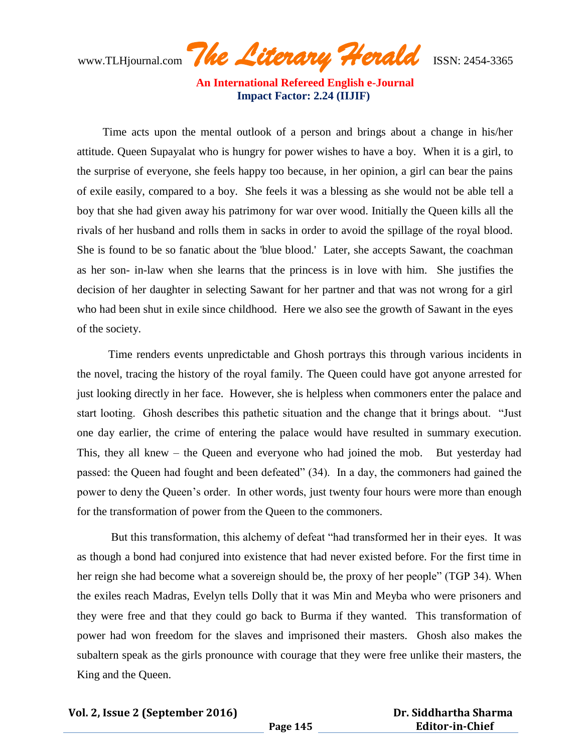www.TLHjournal.com *The Literary Herald*ISSN: 2454-3365

Time acts upon the mental outlook of a person and brings about a change in his/her attitude. Queen Supayalat who is hungry for power wishes to have a boy. When it is a girl, to the surprise of everyone, she feels happy too because, in her opinion, a girl can bear the pains of exile easily, compared to a boy. She feels it was a blessing as she would not be able tell a boy that she had given away his patrimony for war over wood. Initially the Queen kills all the rivals of her husband and rolls them in sacks in order to avoid the spillage of the royal blood. She is found to be so fanatic about the 'blue blood.' Later, she accepts Sawant, the coachman as her son- in-law when she learns that the princess is in love with him. She justifies the decision of her daughter in selecting Sawant for her partner and that was not wrong for a girl who had been shut in exile since childhood. Here we also see the growth of Sawant in the eyes of the society.

 Time renders events unpredictable and Ghosh portrays this through various incidents in the novel, tracing the history of the royal family. The Queen could have got anyone arrested for just looking directly in her face. However, she is helpless when commoners enter the palace and start looting. Ghosh describes this pathetic situation and the change that it brings about. "Just one day earlier, the crime of entering the palace would have resulted in summary execution. This, they all knew – the Queen and everyone who had joined the mob. But yesterday had passed: the Queen had fought and been defeated" (34). In a day, the commoners had gained the power to deny the Queen"s order. In other words, just twenty four hours were more than enough for the transformation of power from the Queen to the commoners.

But this transformation, this alchemy of defeat "had transformed her in their eyes. It was as though a bond had conjured into existence that had never existed before. For the first time in her reign she had become what a sovereign should be, the proxy of her people" (TGP 34). When the exiles reach Madras, Evelyn tells Dolly that it was Min and Meyba who were prisoners and they were free and that they could go back to Burma if they wanted. This transformation of power had won freedom for the slaves and imprisoned their masters. Ghosh also makes the subaltern speak as the girls pronounce with courage that they were free unlike their masters, the King and the Queen.

**Vol. 2, Issue 2 (September 2016)**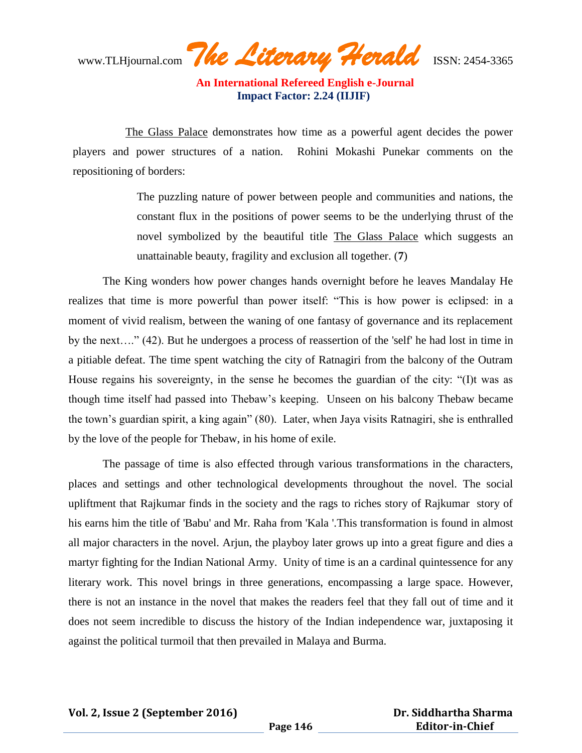www.TLHjournal.com *The Literary Herald*ISSN: 2454-3365

 The Glass Palace demonstrates how time as a powerful agent decides the power players and power structures of a nation. Rohini Mokashi Punekar comments on the repositioning of borders:

> The puzzling nature of power between people and communities and nations, the constant flux in the positions of power seems to be the underlying thrust of the novel symbolized by the beautiful title The Glass Palace which suggests an unattainable beauty, fragility and exclusion all together. (**7**)

The King wonders how power changes hands overnight before he leaves Mandalay He realizes that time is more powerful than power itself: "This is how power is eclipsed: in a moment of vivid realism, between the waning of one fantasy of governance and its replacement by the next…." (42). But he undergoes a process of reassertion of the 'self' he had lost in time in a pitiable defeat. The time spent watching the city of Ratnagiri from the balcony of the Outram House regains his sovereignty, in the sense he becomes the guardian of the city: "(I)t was as though time itself had passed into Thebaw"s keeping. Unseen on his balcony Thebaw became the town"s guardian spirit, a king again" (80). Later, when Jaya visits Ratnagiri, she is enthralled by the love of the people for Thebaw, in his home of exile.

The passage of time is also effected through various transformations in the characters, places and settings and other technological developments throughout the novel. The social upliftment that Rajkumar finds in the society and the rags to riches story of Rajkumar story of his earns him the title of 'Babu' and Mr. Raha from 'Kala '.This transformation is found in almost all major characters in the novel. Arjun, the playboy later grows up into a great figure and dies a martyr fighting for the Indian National Army. Unity of time is an a cardinal quintessence for any literary work. This novel brings in three generations, encompassing a large space. However, there is not an instance in the novel that makes the readers feel that they fall out of time and it does not seem incredible to discuss the history of the Indian independence war, juxtaposing it against the political turmoil that then prevailed in Malaya and Burma.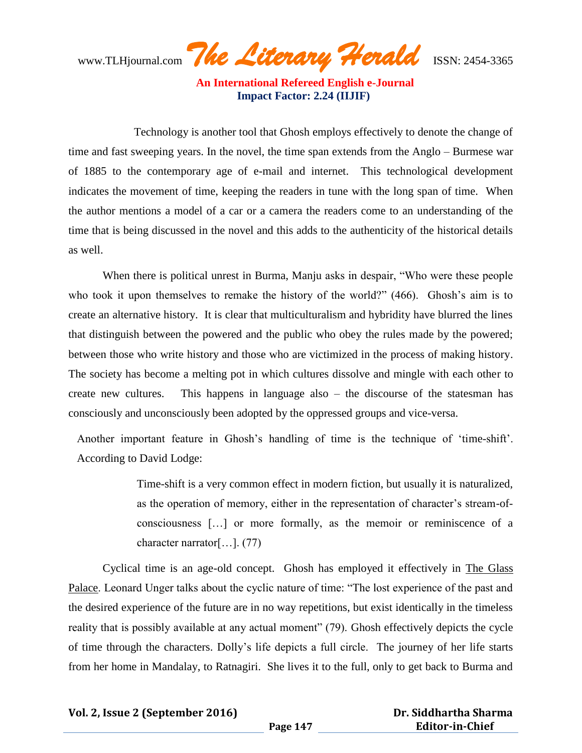www.TLHjournal.com *The Literary Herald*ISSN: 2454-3365

 Technology is another tool that Ghosh employs effectively to denote the change of time and fast sweeping years. In the novel, the time span extends from the Anglo – Burmese war of 1885 to the contemporary age of e-mail and internet. This technological development indicates the movement of time, keeping the readers in tune with the long span of time. When the author mentions a model of a car or a camera the readers come to an understanding of the time that is being discussed in the novel and this adds to the authenticity of the historical details as well.

When there is political unrest in Burma, Manju asks in despair, "Who were these people who took it upon themselves to remake the history of the world?" (466). Ghosh's aim is to create an alternative history. It is clear that multiculturalism and hybridity have blurred the lines that distinguish between the powered and the public who obey the rules made by the powered; between those who write history and those who are victimized in the process of making history. The society has become a melting pot in which cultures dissolve and mingle with each other to create new cultures. This happens in language also – the discourse of the statesman has consciously and unconsciously been adopted by the oppressed groups and vice-versa.

Another important feature in Ghosh"s handling of time is the technique of "time-shift". According to David Lodge:

> Time-shift is a very common effect in modern fiction, but usually it is naturalized, as the operation of memory, either in the representation of character"s stream-ofconsciousness […] or more formally, as the memoir or reminiscence of a character narrator[…]. (77)

Cyclical time is an age-old concept. Ghosh has employed it effectively in The Glass Palace. Leonard Unger talks about the cyclic nature of time: "The lost experience of the past and the desired experience of the future are in no way repetitions, but exist identically in the timeless reality that is possibly available at any actual moment" (79). Ghosh effectively depicts the cycle of time through the characters. Dolly"s life depicts a full circle. The journey of her life starts from her home in Mandalay, to Ratnagiri. She lives it to the full, only to get back to Burma and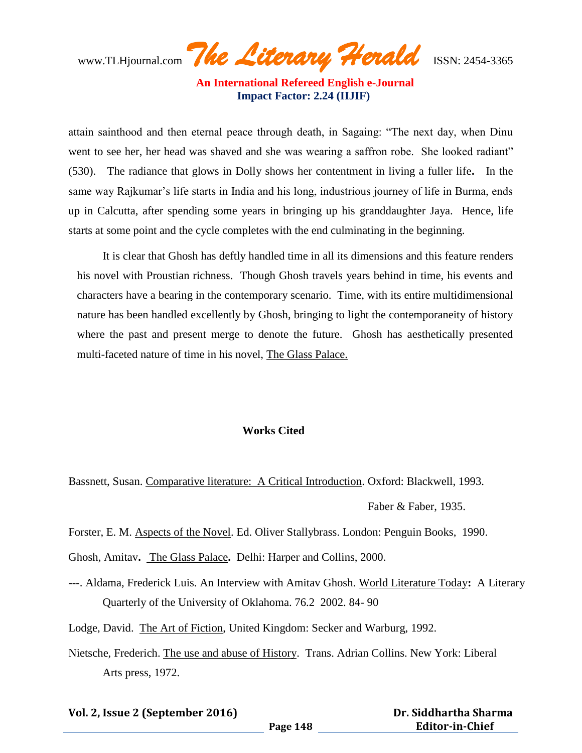www.TLHjournal.com *The Literary Herald*ISSN: 2454-3365

attain sainthood and then eternal peace through death, in Sagaing: "The next day, when Dinu went to see her, her head was shaved and she was wearing a saffron robe. She looked radiant" (530).The radiance that glows in Dolly shows her contentment in living a fuller life**.** In the same way Rajkumar's life starts in India and his long, industrious journey of life in Burma, ends up in Calcutta, after spending some years in bringing up his granddaughter Jaya. Hence, life starts at some point and the cycle completes with the end culminating in the beginning.

It is clear that Ghosh has deftly handled time in all its dimensions and this feature renders his novel with Proustian richness. Though Ghosh travels years behind in time, his events and characters have a bearing in the contemporary scenario. Time, with its entire multidimensional nature has been handled excellently by Ghosh, bringing to light the contemporaneity of history where the past and present merge to denote the future. Ghosh has aesthetically presented multi-faceted nature of time in his novel, The Glass Palace.

#### **Works Cited**

Bassnett, Susan. Comparative literature: A Critical Introduction. Oxford: Blackwell, 1993.

Faber & Faber, 1935.

Forster, E. M. Aspects of the Novel. Ed. Oliver Stallybrass. London: Penguin Books, 1990.

Ghosh, Amitav**.** The Glass Palace**.** Delhi: Harper and Collins, 2000.

---. Aldama, Frederick Luis. An Interview with Amitav Ghosh. World Literature Today**:** A Literary Quarterly of the University of Oklahoma. 76.2 2002. 84- 90

Lodge, David. The Art of Fiction, United Kingdom: Secker and Warburg, 1992.

Nietsche, Frederich. The use and abuse of History. Trans. Adrian Collins. New York: Liberal Arts press, 1972.

**Vol. 2, Issue 2 (September 2016)**